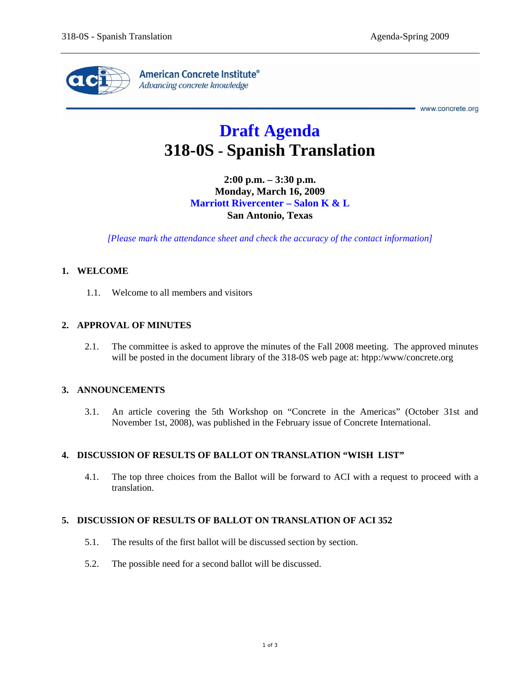

www.concrete.org

# **Draft Agenda 318-0S - Spanish Translation**

**2:00 p.m. – 3:30 p.m. Monday, March 16, 2009 Marriott Rivercenter – Salon K & L San Antonio, Texas** 

*[Please mark the attendance sheet and check the accuracy of the contact information]* 

### **1. WELCOME**

1.1. Welcome to all members and visitors

### **2. APPROVAL OF MINUTES**

2.1. The committee is asked to approve the minutes of the Fall 2008 meeting. The approved minutes will be posted in the document library of the 318-0S web page at: htpp:/www/concrete.org

#### **3. ANNOUNCEMENTS**

3.1. An article covering the 5th Workshop on "Concrete in the Americas" (October 31st and November 1st, 2008), was published in the February issue of Concrete International.

#### **4. DISCUSSION OF RESULTS OF BALLOT ON TRANSLATION "WISH LIST"**

4.1. The top three choices from the Ballot will be forward to ACI with a request to proceed with a translation.

#### **5. DISCUSSION OF RESULTS OF BALLOT ON TRANSLATION OF ACI 352**

- 5.1. The results of the first ballot will be discussed section by section.
- 5.2. The possible need for a second ballot will be discussed.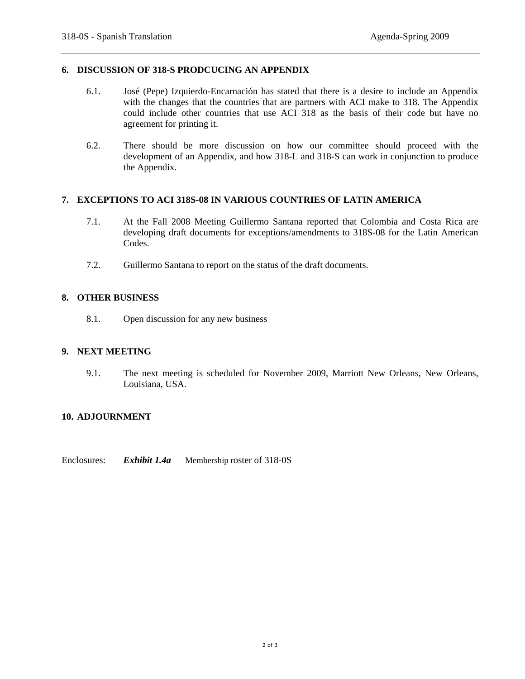#### **6. DISCUSSION OF 318-S PRODCUCING AN APPENDIX**

- 6.1. José (Pepe) Izquierdo-Encarnación has stated that there is a desire to include an Appendix with the changes that the countries that are partners with ACI make to 318. The Appendix could include other countries that use ACI 318 as the basis of their code but have no agreement for printing it.
- 6.2. There should be more discussion on how our committee should proceed with the development of an Appendix, and how 318-L and 318-S can work in conjunction to produce the Appendix.

### **7. EXCEPTIONS TO ACI 318S-08 IN VARIOUS COUNTRIES OF LATIN AMERICA**

- 7.1. At the Fall 2008 Meeting Guillermo Santana reported that Colombia and Costa Rica are developing draft documents for exceptions/amendments to 318S-08 for the Latin American Codes.
- 7.2. Guillermo Santana to report on the status of the draft documents.

# **8. OTHER BUSINESS**

8.1. Open discussion for any new business

#### **9. NEXT MEETING**

9.1. The next meeting is scheduled for November 2009, Marriott New Orleans, New Orleans, Louisiana, USA.

# **10. ADJOURNMENT**

Enclosures: *Exhibit 1.4a* Membership roster of 318-0S